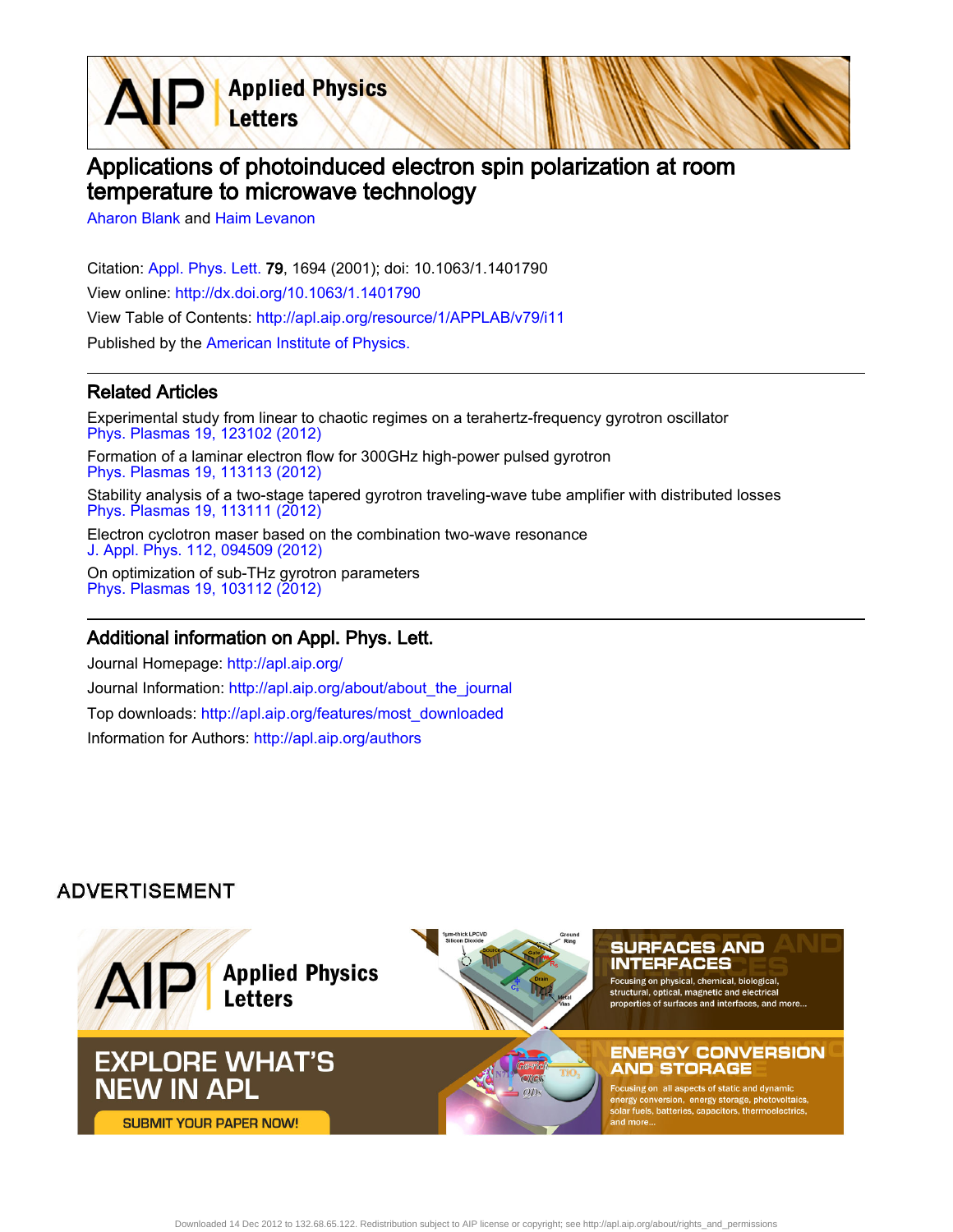Applications of photoinduced electron spin polarization at room temperature to microwave technology

[Aharon Blank](http://apl.aip.org/search?sortby=newestdate&q=&searchzone=2&searchtype=searchin&faceted=faceted&key=AIP_ALL&possible1=Aharon Blank&possible1zone=author&alias=&displayid=AIP&ver=pdfcov) and [Haim Levanon](http://apl.aip.org/search?sortby=newestdate&q=&searchzone=2&searchtype=searchin&faceted=faceted&key=AIP_ALL&possible1=Haim Levanon&possible1zone=author&alias=&displayid=AIP&ver=pdfcov)

Citation: [Appl. Phys. Lett. 7](http://apl.aip.org/?ver=pdfcov)9, 1694 (2001); doi: 10.1063/1.1401790 View online: [http://dx.doi.org/10.1063/1.1401790](http://link.aip.org/link/doi/10.1063/1.1401790?ver=pdfcov) View Table of Contents: [http://apl.aip.org/resource/1/APPLAB/v79/i11](http://apl.aip.org/resource/1/APPLAB/v79/i11?ver=pdfcov) Published by the [American Institute of Physics.](http://www.aip.org/?ver=pdfcov)

**Applied Physics** 

Letters

## Related Articles

Experimental study from linear to chaotic regimes on a terahertz-frequency gyrotron oscillator [Phys. Plasmas 19, 123102 \(2012\)](http://link.aip.org/link/doi/10.1063/1.4769033?ver=pdfcov) Formation of a laminar electron flow for 300GHz high-power pulsed gyrotron [Phys. Plasmas 19, 113113 \(2012\)](http://link.aip.org/link/doi/10.1063/1.4768959?ver=pdfcov) Stability analysis of a two-stage tapered gyrotron traveling-wave tube amplifier with distributed losses [Phys. Plasmas 19, 113111 \(2012\)](http://link.aip.org/link/doi/10.1063/1.4768436?ver=pdfcov) Electron cyclotron maser based on the combination two-wave resonance [J. Appl. Phys. 112, 094509 \(2012\)](http://link.aip.org/link/doi/10.1063/1.4764926?ver=pdfcov) On optimization of sub-THz gyrotron parameters [Phys. Plasmas 19, 103112 \(2012\)](http://link.aip.org/link/doi/10.1063/1.4764073?ver=pdfcov)

## Additional information on Appl. Phys. Lett.

Journal Homepage: [http://apl.aip.org/](http://apl.aip.org/?ver=pdfcov) Journal Information: [http://apl.aip.org/about/about\\_the\\_journal](http://apl.aip.org/about/about_the_journal?ver=pdfcov) Top downloads: [http://apl.aip.org/features/most\\_downloaded](http://apl.aip.org/features/most_downloaded?ver=pdfcov) Information for Authors: [http://apl.aip.org/authors](http://apl.aip.org/authors?ver=pdfcov)

## **ADVERTISEMENT**

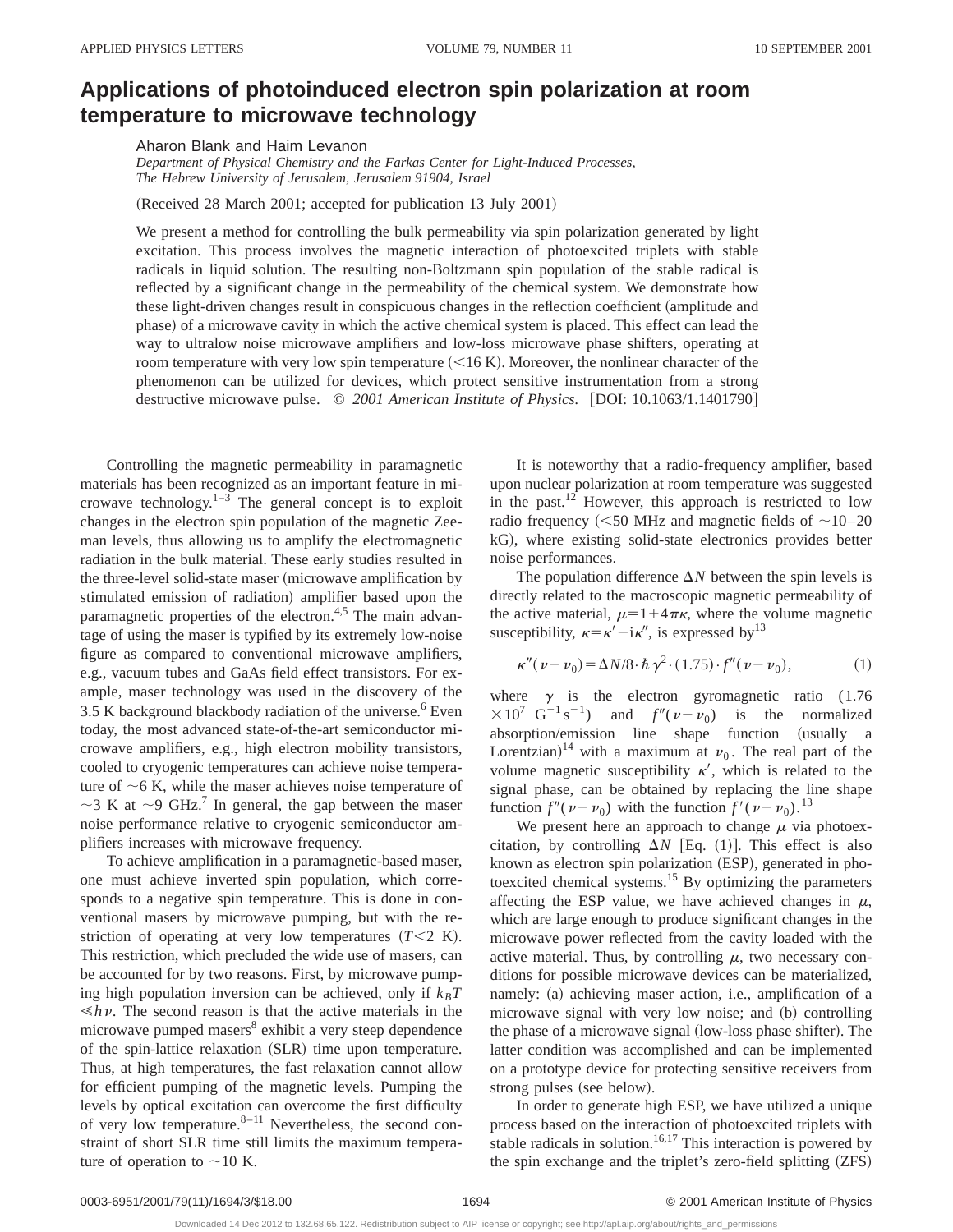## **Applications of photoinduced electron spin polarization at room temperature to microwave technology**

Aharon Blank and Haim Levanon

*Department of Physical Chemistry and the Farkas Center for Light-Induced Processes, The Hebrew University of Jerusalem, Jerusalem 91904, Israel*

(Received 28 March 2001; accepted for publication 13 July 2001)

We present a method for controlling the bulk permeability via spin polarization generated by light excitation. This process involves the magnetic interaction of photoexcited triplets with stable radicals in liquid solution. The resulting non-Boltzmann spin population of the stable radical is reflected by a significant change in the permeability of the chemical system. We demonstrate how these light-driven changes result in conspicuous changes in the reflection coefficient (amplitude and phase) of a microwave cavity in which the active chemical system is placed. This effect can lead the way to ultralow noise microwave amplifiers and low-loss microwave phase shifters, operating at room temperature with very low spin temperature  $(<16 K)$ . Moreover, the nonlinear character of the phenomenon can be utilized for devices, which protect sensitive instrumentation from a strong destructive microwave pulse. © 2001 American Institute of Physics. [DOI: 10.1063/1.1401790]

Controlling the magnetic permeability in paramagnetic materials has been recognized as an important feature in microwave technology. $1-3$  The general concept is to exploit changes in the electron spin population of the magnetic Zeeman levels, thus allowing us to amplify the electromagnetic radiation in the bulk material. These early studies resulted in the three-level solid-state maser (microwave amplification by stimulated emission of radiation) amplifier based upon the paramagnetic properties of the electron.<sup>4,5</sup> The main advantage of using the maser is typified by its extremely low-noise figure as compared to conventional microwave amplifiers, e.g., vacuum tubes and GaAs field effect transistors. For example, maser technology was used in the discovery of the  $3.5$  K background blackbody radiation of the universe.<sup>6</sup> Even today, the most advanced state-of-the-art semiconductor microwave amplifiers, e.g., high electron mobility transistors, cooled to cryogenic temperatures can achieve noise temperature of  $\sim$  6 K, while the maser achieves noise temperature of  $\sim$ 3 K at  $\sim$ 9 GHz.<sup>7</sup> In general, the gap between the maser noise performance relative to cryogenic semiconductor amplifiers increases with microwave frequency.

To achieve amplification in a paramagnetic-based maser, one must achieve inverted spin population, which corresponds to a negative spin temperature. This is done in conventional masers by microwave pumping, but with the restriction of operating at very low temperatures  $(T<2 K)$ . This restriction, which precluded the wide use of masers, can be accounted for by two reasons. First, by microwave pumping high population inversion can be achieved, only if  $k_B T$  $\leq h\nu$ . The second reason is that the active materials in the microwave pumped masers<sup>8</sup> exhibit a very steep dependence of the spin-lattice relaxation (SLR) time upon temperature. Thus, at high temperatures, the fast relaxation cannot allow for efficient pumping of the magnetic levels. Pumping the levels by optical excitation can overcome the first difficulty of very low temperature. $8-11$  Nevertheless, the second constraint of short SLR time still limits the maximum temperature of operation to  $\sim$ 10 K.

It is noteworthy that a radio-frequency amplifier, based upon nuclear polarization at room temperature was suggested in the past. $^{12}$  However, this approach is restricted to low radio frequency ( $\leq$ 50 MHz and magnetic fields of  $\sim$ 10–20 kG), where existing solid-state electronics provides better noise performances.

The population difference  $\Delta N$  between the spin levels is directly related to the macroscopic magnetic permeability of the active material,  $\mu=1+4\pi\kappa$ , where the volume magnetic susceptibility,  $\kappa = \kappa' - i\kappa''$ , is expressed by<sup>13</sup>

$$
\kappa''(\nu - \nu_0) = \Delta N/8 \cdot \hbar \gamma^2 \cdot (1.75) \cdot f''(\nu - \nu_0), \tag{1}
$$

where  $\gamma$  is the electron gyromagnetic ratio (1.76  $\times 10^7$  G<sup>-1</sup>s<sup>-1</sup>) and  $f''(\nu-\nu_0)$  is the normalized absorption/emission line shape function (usually a Lorentzian)<sup>14</sup> with a maximum at  $\nu_0$ . The real part of the volume magnetic susceptibility  $\kappa'$ , which is related to the signal phase, can be obtained by replacing the line shape function  $f''(\nu-\nu_0)$  with the function  $f'(\nu-\nu_0)$ .<sup>13</sup>

We present here an approach to change  $\mu$  via photoexcitation, by controlling  $\Delta N$  [Eq. (1)]. This effect is also known as electron spin polarization (ESP), generated in photoexcited chemical systems.15 By optimizing the parameters affecting the ESP value, we have achieved changes in  $\mu$ , which are large enough to produce significant changes in the microwave power reflected from the cavity loaded with the active material. Thus, by controlling  $\mu$ , two necessary conditions for possible microwave devices can be materialized, namely: (a) achieving maser action, i.e., amplification of a microwave signal with very low noise; and (b) controlling the phase of a microwave signal (low-loss phase shifter). The latter condition was accomplished and can be implemented on a prototype device for protecting sensitive receivers from strong pulses (see below).

In order to generate high ESP, we have utilized a unique process based on the interaction of photoexcited triplets with stable radicals in solution.<sup>16,17</sup> This interaction is powered by the spin exchange and the triplet's zero-field splitting (ZFS)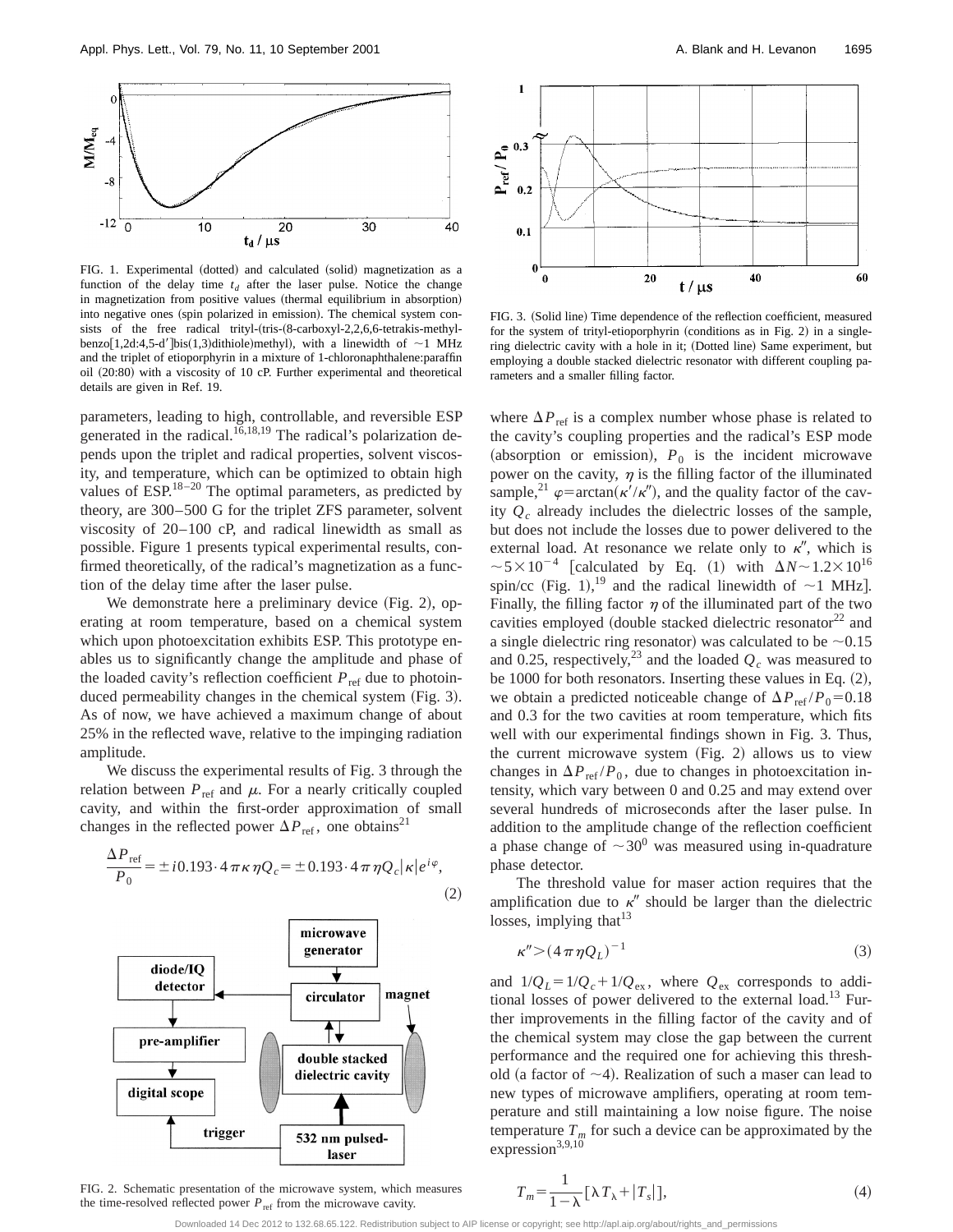

FIG. 1. Experimental (dotted) and calculated (solid) magnetization as a function of the delay time  $t_d$  after the laser pulse. Notice the change in magnetization from positive values (thermal equilibrium in absorption) into negative ones (spin polarized in emission). The chemical system consists of the free radical trityl- $(tris-(8-carboxyl-2,2,6,6-tetrakis-methyl-1)$ benzo[1,2d:4,5-d']bis(1,3)dithiole)methyl), with a linewidth of  $\sim$ 1 MHz and the triplet of etioporphyrin in a mixture of 1-chloronaphthalene:paraffin oil (20:80) with a viscosity of 10 cP. Further experimental and theoretical details are given in Ref. 19.

parameters, leading to high, controllable, and reversible ESP generated in the radical.<sup>16,18,19</sup> The radical's polarization depends upon the triplet and radical properties, solvent viscosity, and temperature, which can be optimized to obtain high values of  $ESP^{18-20}$  The optimal parameters, as predicted by theory, are 300–500 G for the triplet ZFS parameter, solvent viscosity of 20–100 cP, and radical linewidth as small as possible. Figure 1 presents typical experimental results, confirmed theoretically, of the radical's magnetization as a function of the delay time after the laser pulse.

We demonstrate here a preliminary device  $(Fig. 2)$ , operating at room temperature, based on a chemical system which upon photoexcitation exhibits ESP. This prototype enables us to significantly change the amplitude and phase of the loaded cavity's reflection coefficient  $P_{\text{ref}}$  due to photoinduced permeability changes in the chemical system  $(Fig. 3)$ . As of now, we have achieved a maximum change of about 25% in the reflected wave, relative to the impinging radiation amplitude.

We discuss the experimental results of Fig. 3 through the relation between  $P_{ref}$  and  $\mu$ . For a nearly critically coupled cavity, and within the first-order approximation of small changes in the reflected power  $\Delta P_{\text{ref}}$ , one obtains<sup>21</sup>





FIG. 2. Schematic presentation of the microwave system, which measures the time-resolved reflected power  $P_{\text{ref}}$  from the microwave cavity.



FIG. 3. (Solid line) Time dependence of the reflection coefficient, measured for the system of trityl-etioporphyrin (conditions as in Fig. 2) in a singlering dielectric cavity with a hole in it; (Dotted line) Same experiment, but employing a double stacked dielectric resonator with different coupling parameters and a smaller filling factor.

where  $\Delta P_{ref}$  is a complex number whose phase is related to the cavity's coupling properties and the radical's ESP mode (absorption or emission),  $P_0$  is the incident microwave power on the cavity,  $\eta$  is the filling factor of the illuminated sample,<sup>21</sup>  $\varphi$ =arctan( $\kappa'/\kappa''$ ), and the quality factor of the cavity *Qc* already includes the dielectric losses of the sample, but does not include the losses due to power delivered to the external load. At resonance we relate only to  $\kappa''$ , which is  $\sim 5 \times 10^{-4}$  [calculated by Eq. (1) with  $\Delta N \sim 1.2 \times 10^{16}$ spin/cc (Fig. 1),<sup>19</sup> and the radical linewidth of  $\sim$ 1 MHz]. Finally, the filling factor  $\eta$  of the illuminated part of the two cavities employed (double stacked dielectric resonator<sup>22</sup> and a single dielectric ring resonator) was calculated to be  $\sim 0.15$ and 0.25, respectively,<sup>23</sup> and the loaded  $Q_c$  was measured to be 1000 for both resonators. Inserting these values in Eq.  $(2)$ , we obtain a predicted noticeable change of  $\Delta P_{ref}/P_0$ =0.18 and 0.3 for the two cavities at room temperature, which fits well with our experimental findings shown in Fig. 3. Thus, the current microwave system  $(Fig. 2)$  allows us to view changes in  $\Delta P_{ref} / P_0$ , due to changes in photoexcitation intensity, which vary between 0 and 0.25 and may extend over several hundreds of microseconds after the laser pulse. In addition to the amplitude change of the reflection coefficient a phase change of  $\sim 30^0$  was measured using in-quadrature phase detector.

The threshold value for maser action requires that the amplification due to  $\kappa''$  should be larger than the dielectric losses, implying that  $13$ 

$$
\kappa'' \geq (4\pi \eta Q_L)^{-1} \tag{3}
$$

and  $1/Q_L = 1/Q_c + 1/Q_{ex}$ , where  $Q_{ex}$  corresponds to additional losses of power delivered to the external load.<sup>13</sup> Further improvements in the filling factor of the cavity and of the chemical system may close the gap between the current performance and the required one for achieving this threshold (a factor of  $\sim$ 4). Realization of such a maser can lead to new types of microwave amplifiers, operating at room temperature and still maintaining a low noise figure. The noise temperature  $T_m$  for such a device can be approximated by the expression $3,9,10$ 

$$
T_m = \frac{1}{1 - \lambda} \left[ \lambda T_\lambda + |T_s| \right],\tag{4}
$$